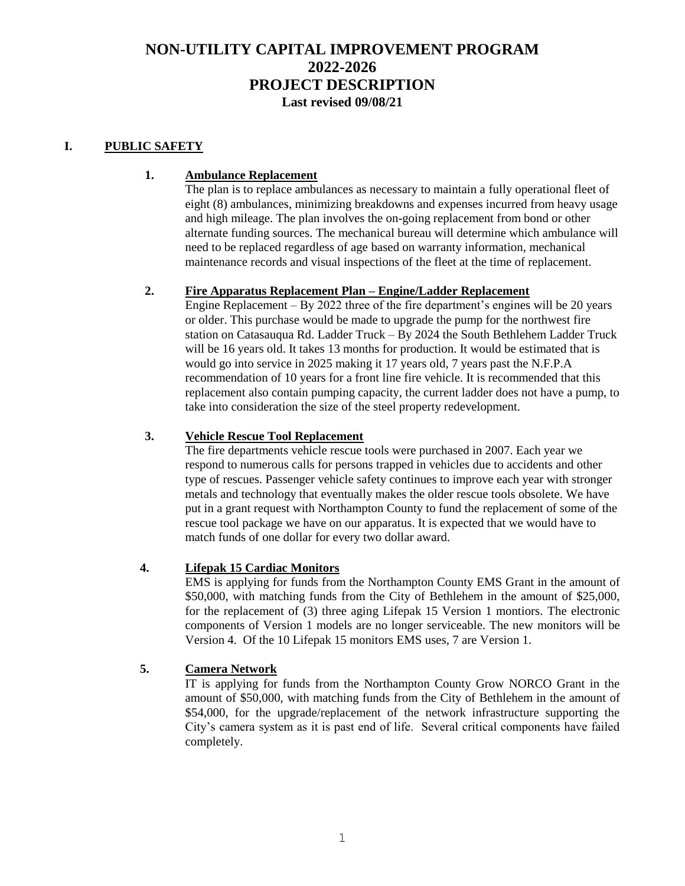# **NON-UTILITY CAPITAL IMPROVEMENT PROGRAM 2022-2026 PROJECT DESCRIPTION Last revised 09/08/21**

#### **I. PUBLIC SAFETY**

#### **1. Ambulance Replacement**

The plan is to replace ambulances as necessary to maintain a fully operational fleet of eight (8) ambulances, minimizing breakdowns and expenses incurred from heavy usage and high mileage. The plan involves the on-going replacement from bond or other alternate funding sources. The mechanical bureau will determine which ambulance will need to be replaced regardless of age based on warranty information, mechanical maintenance records and visual inspections of the fleet at the time of replacement.

#### **2. Fire Apparatus Replacement Plan – Engine/Ladder Replacement**

Engine Replacement  $-$  By 2022 three of the fire department's engines will be 20 years or older. This purchase would be made to upgrade the pump for the northwest fire station on Catasauqua Rd. Ladder Truck – By 2024 the South Bethlehem Ladder Truck will be 16 years old. It takes 13 months for production. It would be estimated that is would go into service in 2025 making it 17 years old, 7 years past the N.F.P.A recommendation of 10 years for a front line fire vehicle. It is recommended that this replacement also contain pumping capacity, the current ladder does not have a pump, to take into consideration the size of the steel property redevelopment.

## **3. Vehicle Rescue Tool Replacement**

The fire departments vehicle rescue tools were purchased in 2007. Each year we respond to numerous calls for persons trapped in vehicles due to accidents and other type of rescues. Passenger vehicle safety continues to improve each year with stronger metals and technology that eventually makes the older rescue tools obsolete. We have put in a grant request with Northampton County to fund the replacement of some of the rescue tool package we have on our apparatus. It is expected that we would have to match funds of one dollar for every two dollar award.

## **4. Lifepak 15 Cardiac Monitors**

EMS is applying for funds from the Northampton County EMS Grant in the amount of \$50,000, with matching funds from the City of Bethlehem in the amount of \$25,000, for the replacement of (3) three aging Lifepak 15 Version 1 montiors. The electronic components of Version 1 models are no longer serviceable. The new monitors will be Version 4. Of the 10 Lifepak 15 monitors EMS uses, 7 are Version 1.

## **5. Camera Network**

IT is applying for funds from the Northampton County Grow NORCO Grant in the amount of \$50,000, with matching funds from the City of Bethlehem in the amount of \$54,000, for the upgrade/replacement of the network infrastructure supporting the City's camera system as it is past end of life. Several critical components have failed completely.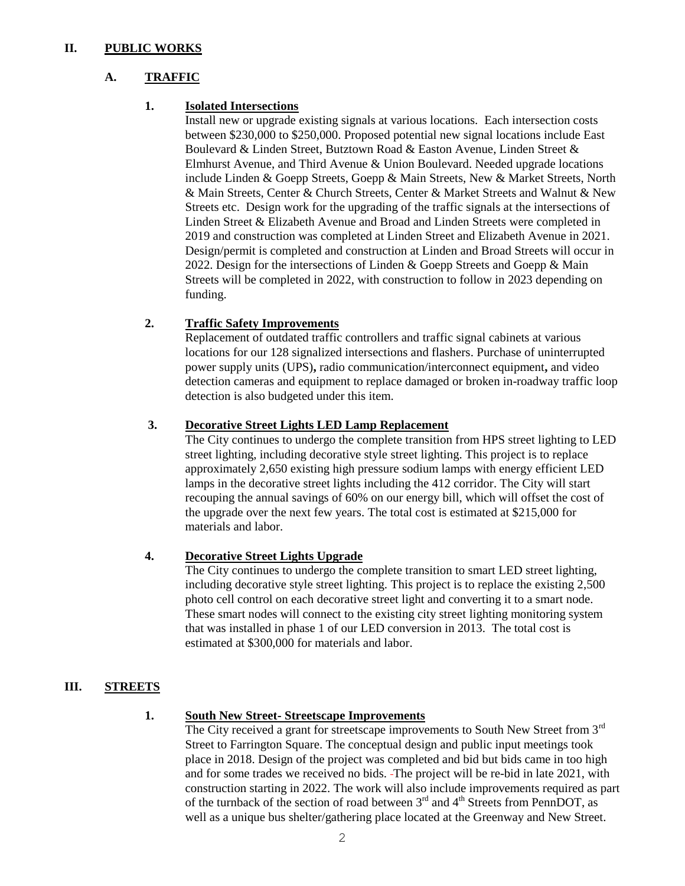### **II. PUBLIC WORKS**

## **A. TRAFFIC**

### **1. Isolated Intersections**

Install new or upgrade existing signals at various locations. Each intersection costs between \$230,000 to \$250,000. Proposed potential new signal locations include East Boulevard & Linden Street, Butztown Road & Easton Avenue, Linden Street & Elmhurst Avenue, and Third Avenue & Union Boulevard. Needed upgrade locations include Linden & Goepp Streets, Goepp & Main Streets, New & Market Streets, North & Main Streets, Center & Church Streets, Center & Market Streets and Walnut & New Streets etc. Design work for the upgrading of the traffic signals at the intersections of Linden Street & Elizabeth Avenue and Broad and Linden Streets were completed in 2019 and construction was completed at Linden Street and Elizabeth Avenue in 2021. Design/permit is completed and construction at Linden and Broad Streets will occur in 2022. Design for the intersections of Linden & Goepp Streets and Goepp & Main Streets will be completed in 2022, with construction to follow in 2023 depending on funding.

## **2. Traffic Safety Improvements**

Replacement of outdated traffic controllers and traffic signal cabinets at various locations for our 128 signalized intersections and flashers. Purchase of uninterrupted power supply units (UPS)**,** radio communication/interconnect equipment**,** and video detection cameras and equipment to replace damaged or broken in-roadway traffic loop detection is also budgeted under this item.

#### **3. Decorative Street Lights LED Lamp Replacement**

The City continues to undergo the complete transition from HPS street lighting to LED street lighting, including decorative style street lighting. This project is to replace approximately 2,650 existing high pressure sodium lamps with energy efficient LED lamps in the decorative street lights including the 412 corridor. The City will start recouping the annual savings of 60% on our energy bill, which will offset the cost of the upgrade over the next few years. The total cost is estimated at \$215,000 for materials and labor.

## **4. Decorative Street Lights Upgrade**

The City continues to undergo the complete transition to smart LED street lighting, including decorative style street lighting. This project is to replace the existing 2,500 photo cell control on each decorative street light and converting it to a smart node. These smart nodes will connect to the existing city street lighting monitoring system that was installed in phase 1 of our LED conversion in 2013. The total cost is estimated at \$300,000 for materials and labor.

## **III. STREETS**

### **1. South New Street- Streetscape Improvements**

The City received a grant for streetscape improvements to South New Street from  $3<sup>rd</sup>$ Street to Farrington Square. The conceptual design and public input meetings took place in 2018. Design of the project was completed and bid but bids came in too high and for some trades we received no bids. The project will be re-bid in late 2021, with construction starting in 2022. The work will also include improvements required as part of the turnback of the section of road between  $3<sup>rd</sup>$  and  $4<sup>th</sup>$  Streets from PennDOT, as well as a unique bus shelter/gathering place located at the Greenway and New Street.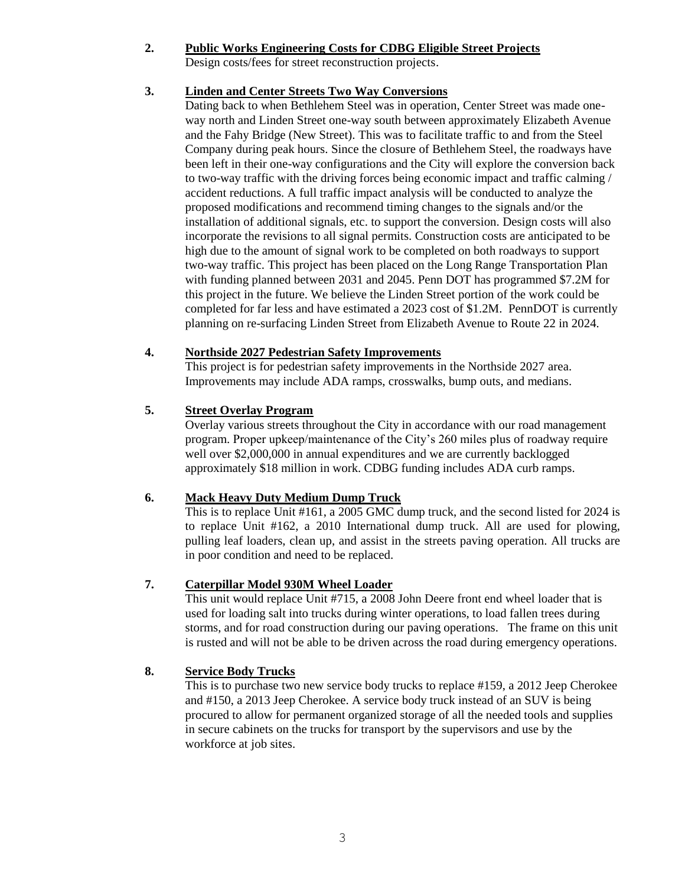#### **2. Public Works Engineering Costs for CDBG Eligible Street Projects**

Design costs/fees for street reconstruction projects.

## **3. Linden and Center Streets Two Way Conversions**

Dating back to when Bethlehem Steel was in operation, Center Street was made oneway north and Linden Street one-way south between approximately Elizabeth Avenue and the Fahy Bridge (New Street). This was to facilitate traffic to and from the Steel Company during peak hours. Since the closure of Bethlehem Steel, the roadways have been left in their one-way configurations and the City will explore the conversion back to two-way traffic with the driving forces being economic impact and traffic calming / accident reductions. A full traffic impact analysis will be conducted to analyze the proposed modifications and recommend timing changes to the signals and/or the installation of additional signals, etc. to support the conversion. Design costs will also incorporate the revisions to all signal permits. Construction costs are anticipated to be high due to the amount of signal work to be completed on both roadways to support two-way traffic. This project has been placed on the Long Range Transportation Plan with funding planned between 2031 and 2045. Penn DOT has programmed \$7.2M for this project in the future. We believe the Linden Street portion of the work could be completed for far less and have estimated a 2023 cost of \$1.2M. PennDOT is currently planning on re-surfacing Linden Street from Elizabeth Avenue to Route 22 in 2024.

## **4. Northside 2027 Pedestrian Safety Improvements**

This project is for pedestrian safety improvements in the Northside 2027 area. Improvements may include ADA ramps, crosswalks, bump outs, and medians.

## **5. Street Overlay Program**

Overlay various streets throughout the City in accordance with our road management program. Proper upkeep/maintenance of the City's 260 miles plus of roadway require well over \$2,000,000 in annual expenditures and we are currently backlogged approximately \$18 million in work. CDBG funding includes ADA curb ramps.

## **6. Mack Heavy Duty Medium Dump Truck**

This is to replace Unit #161, a 2005 GMC dump truck, and the second listed for 2024 is to replace Unit #162, a 2010 International dump truck. All are used for plowing, pulling leaf loaders, clean up, and assist in the streets paving operation. All trucks are in poor condition and need to be replaced.

## **7. Caterpillar Model 930M Wheel Loader**

This unit would replace Unit #715, a 2008 John Deere front end wheel loader that is used for loading salt into trucks during winter operations, to load fallen trees during storms, and for road construction during our paving operations. The frame on this unit is rusted and will not be able to be driven across the road during emergency operations.

## **8. Service Body Trucks**

This is to purchase two new service body trucks to replace #159, a 2012 Jeep Cherokee and #150, a 2013 Jeep Cherokee. A service body truck instead of an SUV is being procured to allow for permanent organized storage of all the needed tools and supplies in secure cabinets on the trucks for transport by the supervisors and use by the workforce at job sites.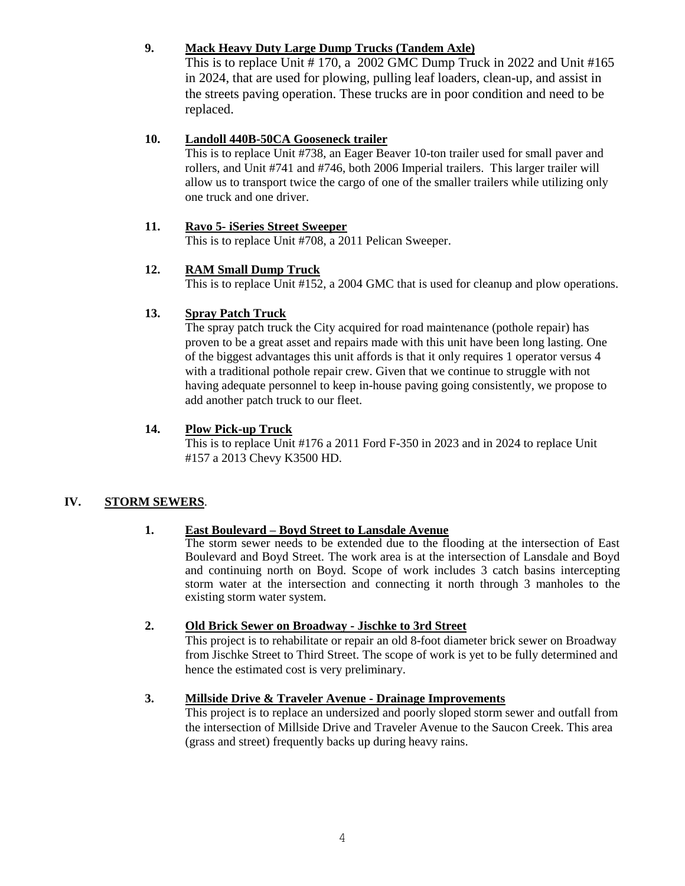## **9. Mack Heavy Duty Large Dump Trucks (Tandem Axle)**

This is to replace Unit # 170, a 2002 GMC Dump Truck in 2022 and Unit #165 in 2024, that are used for plowing, pulling leaf loaders, clean-up, and assist in the streets paving operation. These trucks are in poor condition and need to be replaced.

## **10. Landoll 440B-50CA Gooseneck trailer**

This is to replace Unit #738, an Eager Beaver 10-ton trailer used for small paver and rollers, and Unit #741 and #746, both 2006 Imperial trailers. This larger trailer will allow us to transport twice the cargo of one of the smaller trailers while utilizing only one truck and one driver.

## **11. Ravo 5- iSeries Street Sweeper**

This is to replace Unit #708, a 2011 Pelican Sweeper.

## **12. RAM Small Dump Truck**

This is to replace Unit #152, a 2004 GMC that is used for cleanup and plow operations.

## **13. Spray Patch Truck**

The spray patch truck the City acquired for road maintenance (pothole repair) has proven to be a great asset and repairs made with this unit have been long lasting. One of the biggest advantages this unit affords is that it only requires 1 operator versus 4 with a traditional pothole repair crew. Given that we continue to struggle with not having adequate personnel to keep in-house paving going consistently, we propose to add another patch truck to our fleet.

## **14. Plow Pick-up Truck**

This is to replace Unit #176 a 2011 Ford F-350 in 2023 and in 2024 to replace Unit #157 a 2013 Chevy K3500 HD.

## **IV. STORM SEWERS**.

## **1. East Boulevard – Boyd Street to Lansdale Avenue**

The storm sewer needs to be extended due to the flooding at the intersection of East Boulevard and Boyd Street. The work area is at the intersection of Lansdale and Boyd and continuing north on Boyd. Scope of work includes 3 catch basins intercepting storm water at the intersection and connecting it north through 3 manholes to the existing storm water system.

## **2. Old Brick Sewer on Broadway - Jischke to 3rd Street**

This project is to rehabilitate or repair an old 8-foot diameter brick sewer on Broadway from Jischke Street to Third Street. The scope of work is yet to be fully determined and hence the estimated cost is very preliminary.

## **3. Millside Drive & Traveler Avenue - Drainage Improvements**

This project is to replace an undersized and poorly sloped storm sewer and outfall from the intersection of Millside Drive and Traveler Avenue to the Saucon Creek. This area (grass and street) frequently backs up during heavy rains.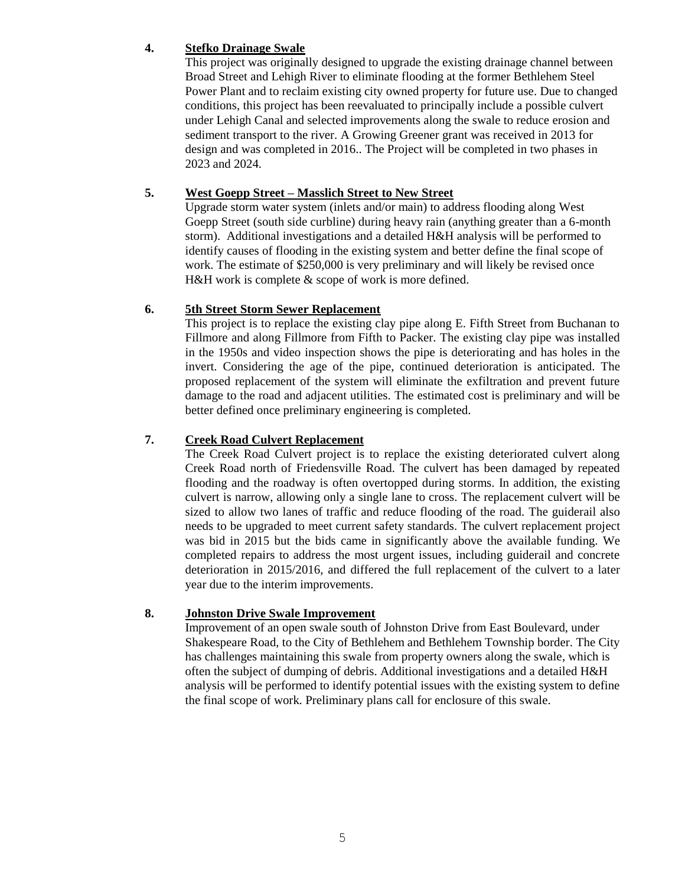### **4. Stefko Drainage Swale**

This project was originally designed to upgrade the existing drainage channel between Broad Street and Lehigh River to eliminate flooding at the former Bethlehem Steel Power Plant and to reclaim existing city owned property for future use. Due to changed conditions, this project has been reevaluated to principally include a possible culvert under Lehigh Canal and selected improvements along the swale to reduce erosion and sediment transport to the river. A Growing Greener grant was received in 2013 for design and was completed in 2016.. The Project will be completed in two phases in 2023 and 2024.

## **5. West Goepp Street – Masslich Street to New Street**

Upgrade storm water system (inlets and/or main) to address flooding along West Goepp Street (south side curbline) during heavy rain (anything greater than a 6-month storm). Additional investigations and a detailed H&H analysis will be performed to identify causes of flooding in the existing system and better define the final scope of work. The estimate of \$250,000 is very preliminary and will likely be revised once H&H work is complete  $\&$  scope of work is more defined.

#### **6. 5th Street Storm Sewer Replacement**

This project is to replace the existing clay pipe along E. Fifth Street from Buchanan to Fillmore and along Fillmore from Fifth to Packer. The existing clay pipe was installed in the 1950s and video inspection shows the pipe is deteriorating and has holes in the invert. Considering the age of the pipe, continued deterioration is anticipated. The proposed replacement of the system will eliminate the exfiltration and prevent future damage to the road and adjacent utilities. The estimated cost is preliminary and will be better defined once preliminary engineering is completed.

## **7. Creek Road Culvert Replacement**

The Creek Road Culvert project is to replace the existing deteriorated culvert along Creek Road north of Friedensville Road. The culvert has been damaged by repeated flooding and the roadway is often overtopped during storms. In addition, the existing culvert is narrow, allowing only a single lane to cross. The replacement culvert will be sized to allow two lanes of traffic and reduce flooding of the road. The guiderail also needs to be upgraded to meet current safety standards. The culvert replacement project was bid in 2015 but the bids came in significantly above the available funding. We completed repairs to address the most urgent issues, including guiderail and concrete deterioration in 2015/2016, and differed the full replacement of the culvert to a later year due to the interim improvements.

## **8. Johnston Drive Swale Improvement**

Improvement of an open swale south of Johnston Drive from East Boulevard, under Shakespeare Road, to the City of Bethlehem and Bethlehem Township border. The City has challenges maintaining this swale from property owners along the swale, which is often the subject of dumping of debris. Additional investigations and a detailed H&H analysis will be performed to identify potential issues with the existing system to define the final scope of work. Preliminary plans call for enclosure of this swale.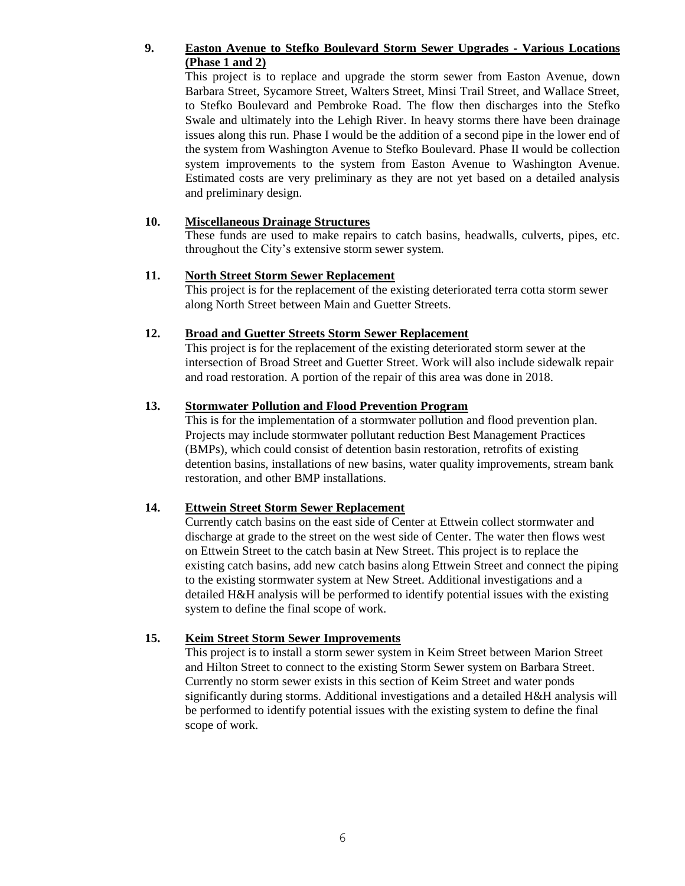## **9. Easton Avenue to Stefko Boulevard Storm Sewer Upgrades - Various Locations (Phase 1 and 2)**

This project is to replace and upgrade the storm sewer from Easton Avenue, down Barbara Street, Sycamore Street, Walters Street, Minsi Trail Street, and Wallace Street, to Stefko Boulevard and Pembroke Road. The flow then discharges into the Stefko Swale and ultimately into the Lehigh River. In heavy storms there have been drainage issues along this run. Phase I would be the addition of a second pipe in the lower end of the system from Washington Avenue to Stefko Boulevard. Phase II would be collection system improvements to the system from Easton Avenue to Washington Avenue. Estimated costs are very preliminary as they are not yet based on a detailed analysis and preliminary design.

#### **10. Miscellaneous Drainage Structures**

These funds are used to make repairs to catch basins, headwalls, culverts, pipes, etc. throughout the City's extensive storm sewer system.

## **11. North Street Storm Sewer Replacement**

This project is for the replacement of the existing deteriorated terra cotta storm sewer along North Street between Main and Guetter Streets.

#### **12. Broad and Guetter Streets Storm Sewer Replacement**

This project is for the replacement of the existing deteriorated storm sewer at the intersection of Broad Street and Guetter Street. Work will also include sidewalk repair and road restoration. A portion of the repair of this area was done in 2018.

#### **13. Stormwater Pollution and Flood Prevention Program**

This is for the implementation of a stormwater pollution and flood prevention plan. Projects may include stormwater pollutant reduction Best Management Practices (BMPs), which could consist of detention basin restoration, retrofits of existing detention basins, installations of new basins, water quality improvements, stream bank restoration, and other BMP installations.

## **14. Ettwein Street Storm Sewer Replacement**

Currently catch basins on the east side of Center at Ettwein collect stormwater and discharge at grade to the street on the west side of Center. The water then flows west on Ettwein Street to the catch basin at New Street. This project is to replace the existing catch basins, add new catch basins along Ettwein Street and connect the piping to the existing stormwater system at New Street. Additional investigations and a detailed H&H analysis will be performed to identify potential issues with the existing system to define the final scope of work.

#### **15. Keim Street Storm Sewer Improvements**

This project is to install a storm sewer system in Keim Street between Marion Street and Hilton Street to connect to the existing Storm Sewer system on Barbara Street. Currently no storm sewer exists in this section of Keim Street and water ponds significantly during storms. Additional investigations and a detailed H&H analysis will be performed to identify potential issues with the existing system to define the final scope of work.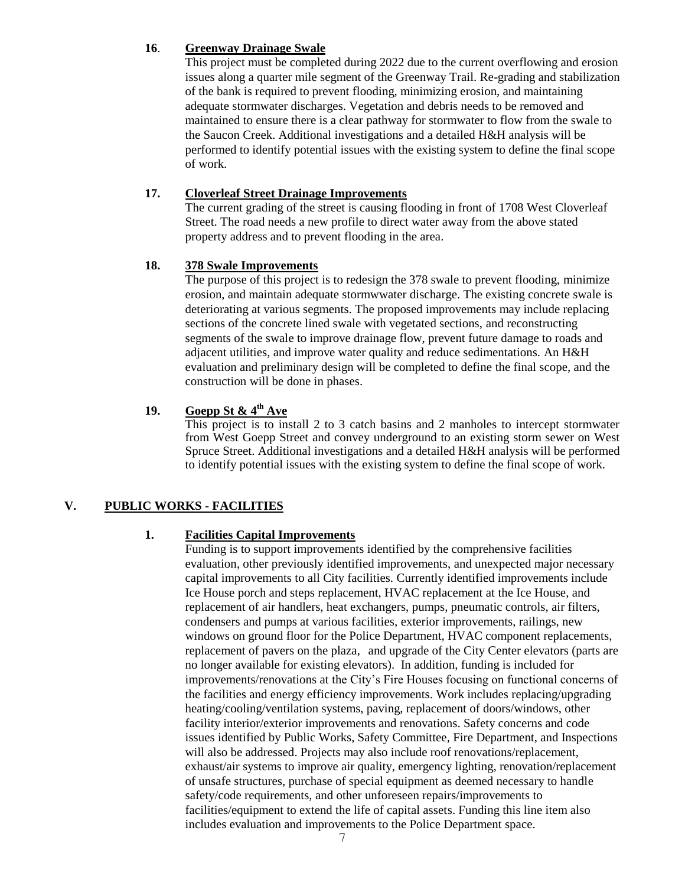#### **16**. **Greenway Drainage Swale**

This project must be completed during 2022 due to the current overflowing and erosion issues along a quarter mile segment of the Greenway Trail. Re-grading and stabilization of the bank is required to prevent flooding, minimizing erosion, and maintaining adequate stormwater discharges. Vegetation and debris needs to be removed and maintained to ensure there is a clear pathway for stormwater to flow from the swale to the Saucon Creek. Additional investigations and a detailed H&H analysis will be performed to identify potential issues with the existing system to define the final scope of work.

### **17. Cloverleaf Street Drainage Improvements**

The current grading of the street is causing flooding in front of 1708 West Cloverleaf Street. The road needs a new profile to direct water away from the above stated property address and to prevent flooding in the area.

#### **18. 378 Swale Improvements**

The purpose of this project is to redesign the 378 swale to prevent flooding, minimize erosion, and maintain adequate stormwwater discharge. The existing concrete swale is deteriorating at various segments. The proposed improvements may include replacing sections of the concrete lined swale with vegetated sections, and reconstructing segments of the swale to improve drainage flow, prevent future damage to roads and adjacent utilities, and improve water quality and reduce sedimentations. An H&H evaluation and preliminary design will be completed to define the final scope, and the construction will be done in phases.

## **19. Goepp St & 4th Ave**

This project is to install 2 to 3 catch basins and 2 manholes to intercept stormwater from West Goepp Street and convey underground to an existing storm sewer on West Spruce Street. Additional investigations and a detailed H&H analysis will be performed to identify potential issues with the existing system to define the final scope of work.

## **V. PUBLIC WORKS - FACILITIES**

## **1. Facilities Capital Improvements**

Funding is to support improvements identified by the comprehensive facilities evaluation, other previously identified improvements, and unexpected major necessary capital improvements to all City facilities. Currently identified improvements include Ice House porch and steps replacement, HVAC replacement at the Ice House, and replacement of air handlers, heat exchangers, pumps, pneumatic controls, air filters, condensers and pumps at various facilities, exterior improvements, railings, new windows on ground floor for the Police Department, HVAC component replacements, replacement of pavers on the plaza, and upgrade of the City Center elevators (parts are no longer available for existing elevators). In addition, funding is included for improvements/renovations at the City's Fire Houses focusing on functional concerns of the facilities and energy efficiency improvements. Work includes replacing/upgrading heating/cooling/ventilation systems, paving, replacement of doors/windows, other facility interior/exterior improvements and renovations. Safety concerns and code issues identified by Public Works, Safety Committee, Fire Department, and Inspections will also be addressed. Projects may also include roof renovations/replacement, exhaust/air systems to improve air quality, emergency lighting, renovation/replacement of unsafe structures, purchase of special equipment as deemed necessary to handle safety/code requirements, and other unforeseen repairs/improvements to facilities/equipment to extend the life of capital assets. Funding this line item also includes evaluation and improvements to the Police Department space.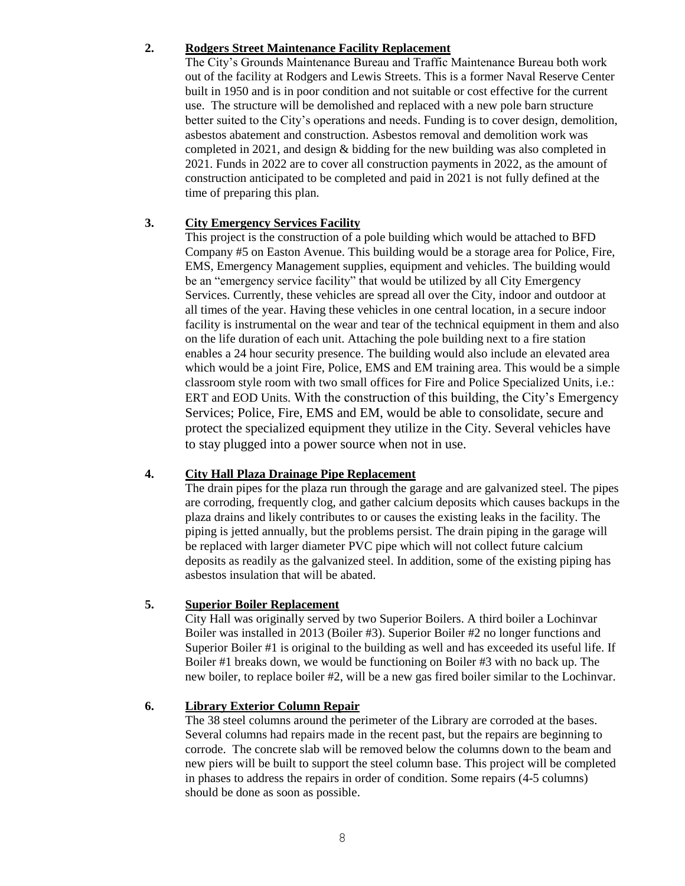#### **2. Rodgers Street Maintenance Facility Replacement**

The City's Grounds Maintenance Bureau and Traffic Maintenance Bureau both work out of the facility at Rodgers and Lewis Streets. This is a former Naval Reserve Center built in 1950 and is in poor condition and not suitable or cost effective for the current use. The structure will be demolished and replaced with a new pole barn structure better suited to the City's operations and needs. Funding is to cover design, demolition, asbestos abatement and construction. Asbestos removal and demolition work was completed in 2021, and design & bidding for the new building was also completed in 2021. Funds in 2022 are to cover all construction payments in 2022, as the amount of construction anticipated to be completed and paid in 2021 is not fully defined at the time of preparing this plan.

## **3. City Emergency Services Facility**

This project is the construction of a pole building which would be attached to BFD Company #5 on Easton Avenue. This building would be a storage area for Police, Fire, EMS, Emergency Management supplies, equipment and vehicles. The building would be an "emergency service facility" that would be utilized by all City Emergency Services. Currently, these vehicles are spread all over the City, indoor and outdoor at all times of the year. Having these vehicles in one central location, in a secure indoor facility is instrumental on the wear and tear of the technical equipment in them and also on the life duration of each unit. Attaching the pole building next to a fire station enables a 24 hour security presence. The building would also include an elevated area which would be a joint Fire, Police, EMS and EM training area. This would be a simple classroom style room with two small offices for Fire and Police Specialized Units, i.e.: ERT and EOD Units. With the construction of this building, the City's Emergency Services; Police, Fire, EMS and EM, would be able to consolidate, secure and protect the specialized equipment they utilize in the City. Several vehicles have to stay plugged into a power source when not in use.

## **4. City Hall Plaza Drainage Pipe Replacement**

The drain pipes for the plaza run through the garage and are galvanized steel. The pipes are corroding, frequently clog, and gather calcium deposits which causes backups in the plaza drains and likely contributes to or causes the existing leaks in the facility. The piping is jetted annually, but the problems persist. The drain piping in the garage will be replaced with larger diameter PVC pipe which will not collect future calcium deposits as readily as the galvanized steel. In addition, some of the existing piping has asbestos insulation that will be abated.

## **5. Superior Boiler Replacement**

City Hall was originally served by two Superior Boilers. A third boiler a Lochinvar Boiler was installed in 2013 (Boiler #3). Superior Boiler #2 no longer functions and Superior Boiler #1 is original to the building as well and has exceeded its useful life. If Boiler #1 breaks down, we would be functioning on Boiler #3 with no back up. The new boiler, to replace boiler #2, will be a new gas fired boiler similar to the Lochinvar.

## **6. Library Exterior Column Repair**

The 38 steel columns around the perimeter of the Library are corroded at the bases. Several columns had repairs made in the recent past, but the repairs are beginning to corrode. The concrete slab will be removed below the columns down to the beam and new piers will be built to support the steel column base. This project will be completed in phases to address the repairs in order of condition. Some repairs (4-5 columns) should be done as soon as possible.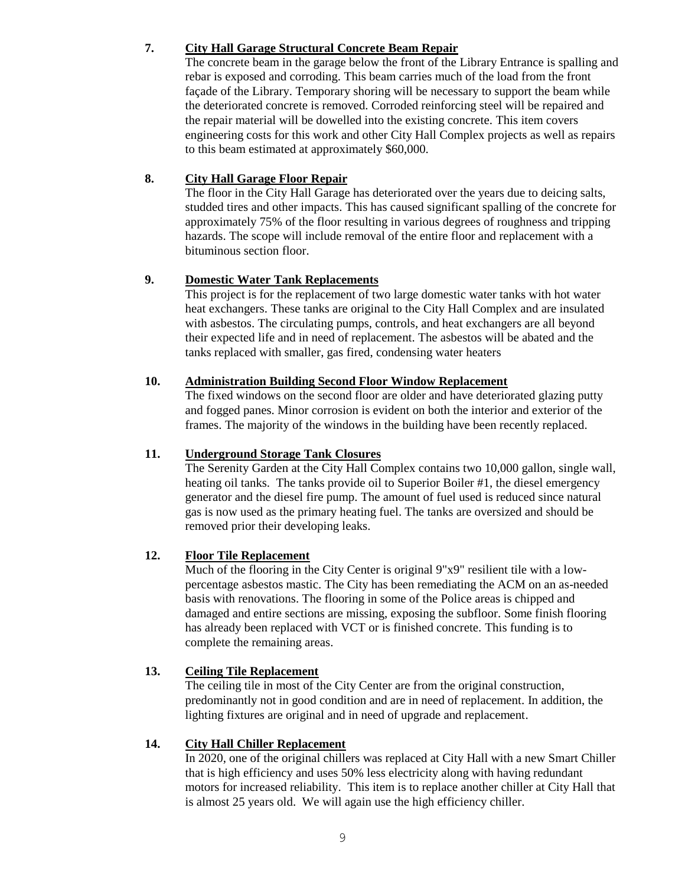### **7. City Hall Garage Structural Concrete Beam Repair**

The concrete beam in the garage below the front of the Library Entrance is spalling and rebar is exposed and corroding. This beam carries much of the load from the front façade of the Library. Temporary shoring will be necessary to support the beam while the deteriorated concrete is removed. Corroded reinforcing steel will be repaired and the repair material will be dowelled into the existing concrete. This item covers engineering costs for this work and other City Hall Complex projects as well as repairs to this beam estimated at approximately \$60,000.

## **8. City Hall Garage Floor Repair**

The floor in the City Hall Garage has deteriorated over the years due to deicing salts, studded tires and other impacts. This has caused significant spalling of the concrete for approximately 75% of the floor resulting in various degrees of roughness and tripping hazards. The scope will include removal of the entire floor and replacement with a bituminous section floor.

## **9. Domestic Water Tank Replacements**

This project is for the replacement of two large domestic water tanks with hot water heat exchangers. These tanks are original to the City Hall Complex and are insulated with asbestos. The circulating pumps, controls, and heat exchangers are all beyond their expected life and in need of replacement. The asbestos will be abated and the tanks replaced with smaller, gas fired, condensing water heaters

#### **10. Administration Building Second Floor Window Replacement**

The fixed windows on the second floor are older and have deteriorated glazing putty and fogged panes. Minor corrosion is evident on both the interior and exterior of the frames. The majority of the windows in the building have been recently replaced.

#### **11. Underground Storage Tank Closures**

The Serenity Garden at the City Hall Complex contains two 10,000 gallon, single wall, heating oil tanks. The tanks provide oil to Superior Boiler #1, the diesel emergency generator and the diesel fire pump. The amount of fuel used is reduced since natural gas is now used as the primary heating fuel. The tanks are oversized and should be removed prior their developing leaks.

## **12. Floor Tile Replacement**

Much of the flooring in the City Center is original 9"x9" resilient tile with a lowpercentage asbestos mastic. The City has been remediating the ACM on an as-needed basis with renovations. The flooring in some of the Police areas is chipped and damaged and entire sections are missing, exposing the subfloor. Some finish flooring has already been replaced with VCT or is finished concrete. This funding is to complete the remaining areas.

## **13. Ceiling Tile Replacement**

The ceiling tile in most of the City Center are from the original construction, predominantly not in good condition and are in need of replacement. In addition, the lighting fixtures are original and in need of upgrade and replacement.

#### **14. City Hall Chiller Replacement**

In 2020, one of the original chillers was replaced at City Hall with a new Smart Chiller that is high efficiency and uses 50% less electricity along with having redundant motors for increased reliability. This item is to replace another chiller at City Hall that is almost 25 years old. We will again use the high efficiency chiller.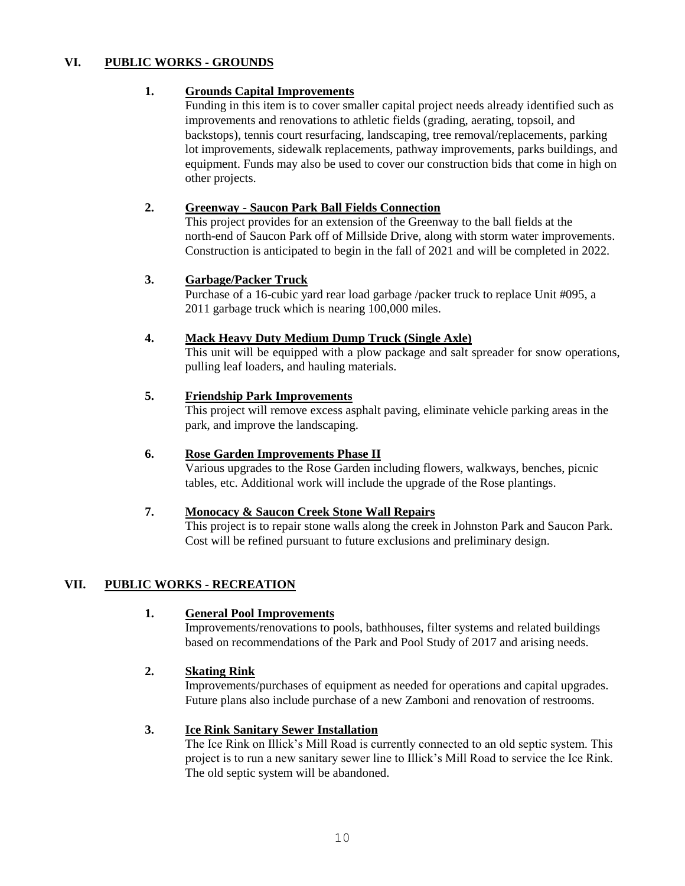## **VI. PUBLIC WORKS - GROUNDS**

## **1. Grounds Capital Improvements**

Funding in this item is to cover smaller capital project needs already identified such as improvements and renovations to athletic fields (grading, aerating, topsoil, and backstops), tennis court resurfacing, landscaping, tree removal/replacements, parking lot improvements, sidewalk replacements, pathway improvements, parks buildings, and equipment. Funds may also be used to cover our construction bids that come in high on other projects.

#### **2. Greenway - Saucon Park Ball Fields Connection**

This project provides for an extension of the Greenway to the ball fields at the north-end of Saucon Park off of Millside Drive, along with storm water improvements. Construction is anticipated to begin in the fall of 2021 and will be completed in 2022.

#### **3. Garbage/Packer Truck**

Purchase of a 16-cubic yard rear load garbage /packer truck to replace Unit #095, a 2011 garbage truck which is nearing 100,000 miles.

#### **4. Mack Heavy Duty Medium Dump Truck (Single Axle)**

This unit will be equipped with a plow package and salt spreader for snow operations, pulling leaf loaders, and hauling materials.

#### **5. Friendship Park Improvements**

This project will remove excess asphalt paving, eliminate vehicle parking areas in the park, and improve the landscaping.

#### **6. Rose Garden Improvements Phase II**

Various upgrades to the Rose Garden including flowers, walkways, benches, picnic tables, etc. Additional work will include the upgrade of the Rose plantings.

#### **7. Monocacy & Saucon Creek Stone Wall Repairs**

This project is to repair stone walls along the creek in Johnston Park and Saucon Park. Cost will be refined pursuant to future exclusions and preliminary design.

## **VII. PUBLIC WORKS - RECREATION**

#### **1. General Pool Improvements**

Improvements/renovations to pools, bathhouses, filter systems and related buildings based on recommendations of the Park and Pool Study of 2017 and arising needs.

## **2. Skating Rink**

Improvements/purchases of equipment as needed for operations and capital upgrades. Future plans also include purchase of a new Zamboni and renovation of restrooms.

#### **3. Ice Rink Sanitary Sewer Installation**

The Ice Rink on Illick's Mill Road is currently connected to an old septic system. This project is to run a new sanitary sewer line to Illick's Mill Road to service the Ice Rink. The old septic system will be abandoned.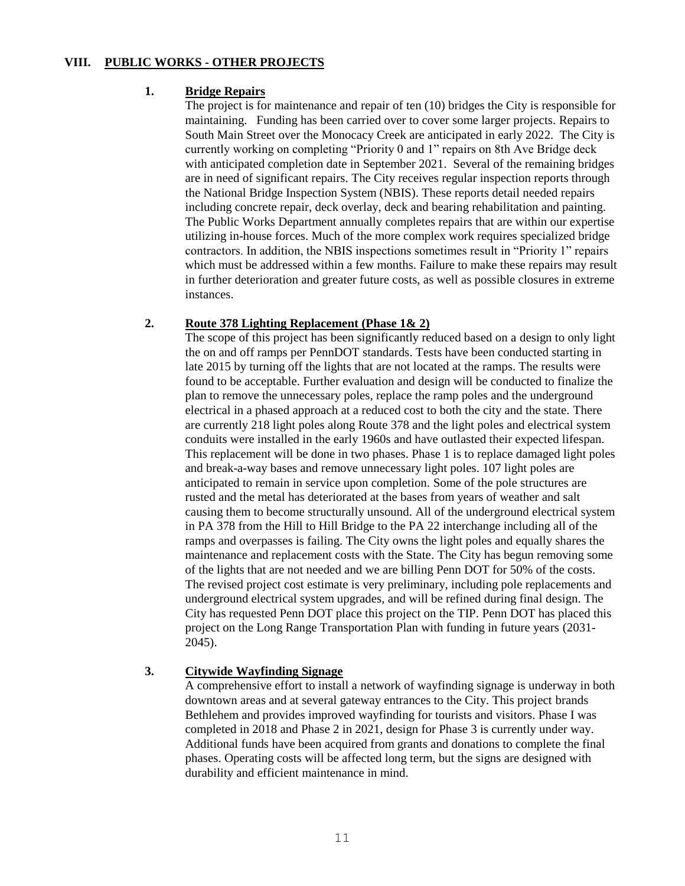## **VIII. PUBLIC WORKS - OTHER PROJECTS**

#### **1. Bridge Repairs**

The project is for maintenance and repair of ten (10) bridges the City is responsible for maintaining. Funding has been carried over to cover some larger projects. Repairs to South Main Street over the Monocacy Creek are anticipated in early 2022. The City is currently working on completing "Priority 0 and 1" repairs on 8th Ave Bridge deck with anticipated completion date in September 2021. Several of the remaining bridges are in need of significant repairs. The City receives regular inspection reports through the National Bridge Inspection System (NBIS). These reports detail needed repairs including concrete repair, deck overlay, deck and bearing rehabilitation and painting. The Public Works Department annually completes repairs that are within our expertise utilizing in-house forces. Much of the more complex work requires specialized bridge contractors. In addition, the NBIS inspections sometimes result in "Priority 1" repairs which must be addressed within a few months. Failure to make these repairs may result in further deterioration and greater future costs, as well as possible closures in extreme instances.

#### **2. Route 378 Lighting Replacement (Phase 1& 2)**

The scope of this project has been significantly reduced based on a design to only light the on and off ramps per PennDOT standards. Tests have been conducted starting in late 2015 by turning off the lights that are not located at the ramps. The results were found to be acceptable. Further evaluation and design will be conducted to finalize the plan to remove the unnecessary poles, replace the ramp poles and the underground electrical in a phased approach at a reduced cost to both the city and the state. There are currently 218 light poles along Route 378 and the light poles and electrical system conduits were installed in the early 1960s and have outlasted their expected lifespan. This replacement will be done in two phases. Phase 1 is to replace damaged light poles and break-a-way bases and remove unnecessary light poles. 107 light poles are anticipated to remain in service upon completion. Some of the pole structures are rusted and the metal has deteriorated at the bases from years of weather and salt causing them to become structurally unsound. All of the underground electrical system in PA 378 from the Hill to Hill Bridge to the PA 22 interchange including all of the ramps and overpasses is failing. The City owns the light poles and equally shares the maintenance and replacement costs with the State. The City has begun removing some of the lights that are not needed and we are billing Penn DOT for 50% of the costs. The revised project cost estimate is very preliminary, including pole replacements and underground electrical system upgrades, and will be refined during final design. The City has requested Penn DOT place this project on the TIP. Penn DOT has placed this project on the Long Range Transportation Plan with funding in future years (2031- 2045).

## **3. Citywide Wayfinding Signage**

A comprehensive effort to install a network of wayfinding signage is underway in both downtown areas and at several gateway entrances to the City. This project brands Bethlehem and provides improved wayfinding for tourists and visitors. Phase I was completed in 2018 and Phase 2 in 2021, design for Phase 3 is currently under way. Additional funds have been acquired from grants and donations to complete the final phases. Operating costs will be affected long term, but the signs are designed with durability and efficient maintenance in mind.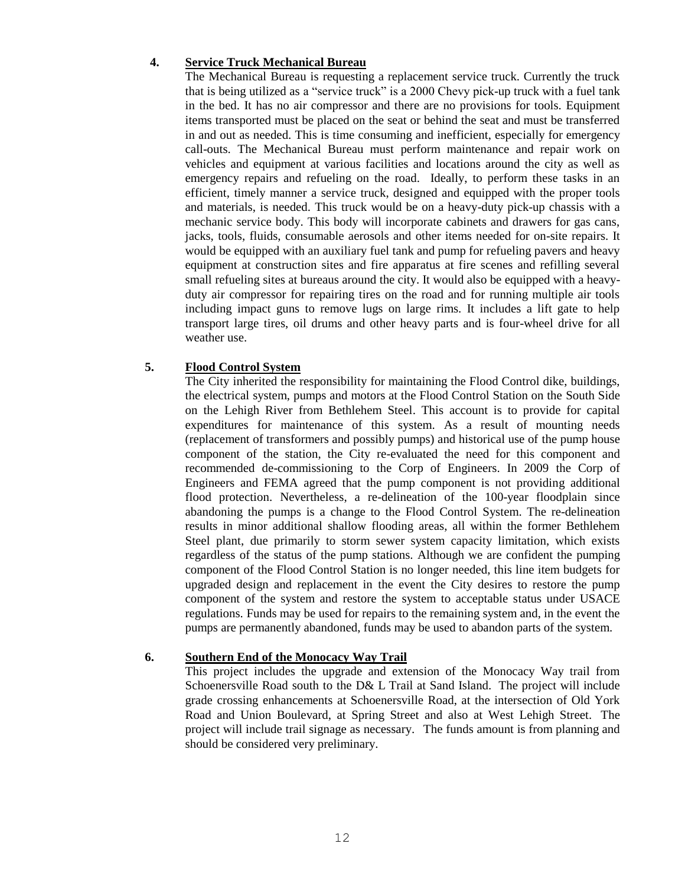#### **4. Service Truck Mechanical Bureau**

The Mechanical Bureau is requesting a replacement service truck. Currently the truck that is being utilized as a "service truck" is a 2000 Chevy pick-up truck with a fuel tank in the bed. It has no air compressor and there are no provisions for tools. Equipment items transported must be placed on the seat or behind the seat and must be transferred in and out as needed. This is time consuming and inefficient, especially for emergency call-outs. The Mechanical Bureau must perform maintenance and repair work on vehicles and equipment at various facilities and locations around the city as well as emergency repairs and refueling on the road. Ideally, to perform these tasks in an efficient, timely manner a service truck, designed and equipped with the proper tools and materials, is needed. This truck would be on a heavy-duty pick-up chassis with a mechanic service body. This body will incorporate cabinets and drawers for gas cans, jacks, tools, fluids, consumable aerosols and other items needed for on-site repairs. It would be equipped with an auxiliary fuel tank and pump for refueling pavers and heavy equipment at construction sites and fire apparatus at fire scenes and refilling several small refueling sites at bureaus around the city. It would also be equipped with a heavyduty air compressor for repairing tires on the road and for running multiple air tools including impact guns to remove lugs on large rims. It includes a lift gate to help transport large tires, oil drums and other heavy parts and is four-wheel drive for all weather use.

#### **5. Flood Control System**

The City inherited the responsibility for maintaining the Flood Control dike, buildings, the electrical system, pumps and motors at the Flood Control Station on the South Side on the Lehigh River from Bethlehem Steel. This account is to provide for capital expenditures for maintenance of this system. As a result of mounting needs (replacement of transformers and possibly pumps) and historical use of the pump house component of the station, the City re-evaluated the need for this component and recommended de-commissioning to the Corp of Engineers. In 2009 the Corp of Engineers and FEMA agreed that the pump component is not providing additional flood protection. Nevertheless, a re-delineation of the 100-year floodplain since abandoning the pumps is a change to the Flood Control System. The re-delineation results in minor additional shallow flooding areas, all within the former Bethlehem Steel plant, due primarily to storm sewer system capacity limitation, which exists regardless of the status of the pump stations. Although we are confident the pumping component of the Flood Control Station is no longer needed, this line item budgets for upgraded design and replacement in the event the City desires to restore the pump component of the system and restore the system to acceptable status under USACE regulations. Funds may be used for repairs to the remaining system and, in the event the pumps are permanently abandoned, funds may be used to abandon parts of the system.

#### **6. Southern End of the Monocacy Way Trail**

This project includes the upgrade and extension of the Monocacy Way trail from Schoenersville Road south to the D& L Trail at Sand Island. The project will include grade crossing enhancements at Schoenersville Road, at the intersection of Old York Road and Union Boulevard, at Spring Street and also at West Lehigh Street. The project will include trail signage as necessary. The funds amount is from planning and should be considered very preliminary.